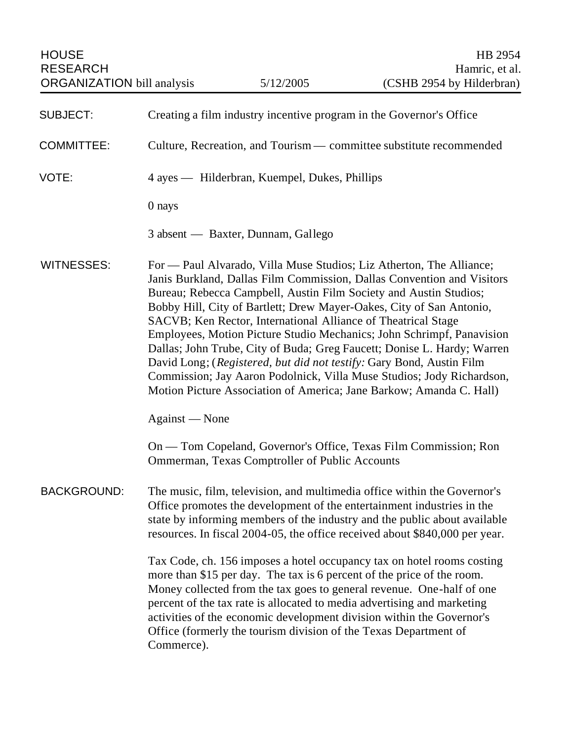| <b>HOUSE</b><br><b>RESEARCH</b><br><b>ORGANIZATION</b> bill analysis |                                                                                                                                                                                                                                                                                                                                                                                                                                                                                                                                                                                                                                                                                                                                          | 5/12/2005                                                        | HB 2954<br>Hamric, et al.<br>(CSHB 2954 by Hilderbran)                                                                                                                                                                                                                                                                                                                        |
|----------------------------------------------------------------------|------------------------------------------------------------------------------------------------------------------------------------------------------------------------------------------------------------------------------------------------------------------------------------------------------------------------------------------------------------------------------------------------------------------------------------------------------------------------------------------------------------------------------------------------------------------------------------------------------------------------------------------------------------------------------------------------------------------------------------------|------------------------------------------------------------------|-------------------------------------------------------------------------------------------------------------------------------------------------------------------------------------------------------------------------------------------------------------------------------------------------------------------------------------------------------------------------------|
| <b>SUBJECT:</b>                                                      | Creating a film industry incentive program in the Governor's Office                                                                                                                                                                                                                                                                                                                                                                                                                                                                                                                                                                                                                                                                      |                                                                  |                                                                                                                                                                                                                                                                                                                                                                               |
| <b>COMMITTEE:</b>                                                    | Culture, Recreation, and Tourism — committee substitute recommended                                                                                                                                                                                                                                                                                                                                                                                                                                                                                                                                                                                                                                                                      |                                                                  |                                                                                                                                                                                                                                                                                                                                                                               |
| VOTE:                                                                | 4 ayes — Hilderbran, Kuempel, Dukes, Phillips                                                                                                                                                                                                                                                                                                                                                                                                                                                                                                                                                                                                                                                                                            |                                                                  |                                                                                                                                                                                                                                                                                                                                                                               |
|                                                                      | $0$ nays                                                                                                                                                                                                                                                                                                                                                                                                                                                                                                                                                                                                                                                                                                                                 |                                                                  |                                                                                                                                                                                                                                                                                                                                                                               |
|                                                                      |                                                                                                                                                                                                                                                                                                                                                                                                                                                                                                                                                                                                                                                                                                                                          | 3 absent — Baxter, Dunnam, Gallego                               |                                                                                                                                                                                                                                                                                                                                                                               |
| <b>WITNESSES:</b>                                                    | For — Paul Alvarado, Villa Muse Studios; Liz Atherton, The Alliance;<br>Janis Burkland, Dallas Film Commission, Dallas Convention and Visitors<br>Bureau; Rebecca Campbell, Austin Film Society and Austin Studios;<br>Bobby Hill, City of Bartlett; Drew Mayer-Oakes, City of San Antonio,<br>SACVB; Ken Rector, International Alliance of Theatrical Stage<br>Employees, Motion Picture Studio Mechanics; John Schrimpf, Panavision<br>Dallas; John Trube, City of Buda; Greg Faucett; Donise L. Hardy; Warren<br>David Long; (Registered, but did not testify: Gary Bond, Austin Film<br>Commission; Jay Aaron Podolnick, Villa Muse Studios; Jody Richardson,<br>Motion Picture Association of America; Jane Barkow; Amanda C. Hall) |                                                                  |                                                                                                                                                                                                                                                                                                                                                                               |
|                                                                      | Against — None                                                                                                                                                                                                                                                                                                                                                                                                                                                                                                                                                                                                                                                                                                                           |                                                                  |                                                                                                                                                                                                                                                                                                                                                                               |
|                                                                      |                                                                                                                                                                                                                                                                                                                                                                                                                                                                                                                                                                                                                                                                                                                                          | <b>Ommerman, Texas Comptroller of Public Accounts</b>            | On — Tom Copeland, Governor's Office, Texas Film Commission; Ron                                                                                                                                                                                                                                                                                                              |
| <b>BACKGROUND:</b>                                                   |                                                                                                                                                                                                                                                                                                                                                                                                                                                                                                                                                                                                                                                                                                                                          |                                                                  | The music, film, television, and multimedia office within the Governor's<br>Office promotes the development of the entertainment industries in the<br>state by informing members of the industry and the public about available<br>resources. In fiscal 2004-05, the office received about \$840,000 per year.                                                                |
|                                                                      | Commerce).                                                                                                                                                                                                                                                                                                                                                                                                                                                                                                                                                                                                                                                                                                                               | Office (formerly the tourism division of the Texas Department of | Tax Code, ch. 156 imposes a hotel occupancy tax on hotel rooms costing<br>more than \$15 per day. The tax is 6 percent of the price of the room.<br>Money collected from the tax goes to general revenue. One-half of one<br>percent of the tax rate is allocated to media advertising and marketing<br>activities of the economic development division within the Governor's |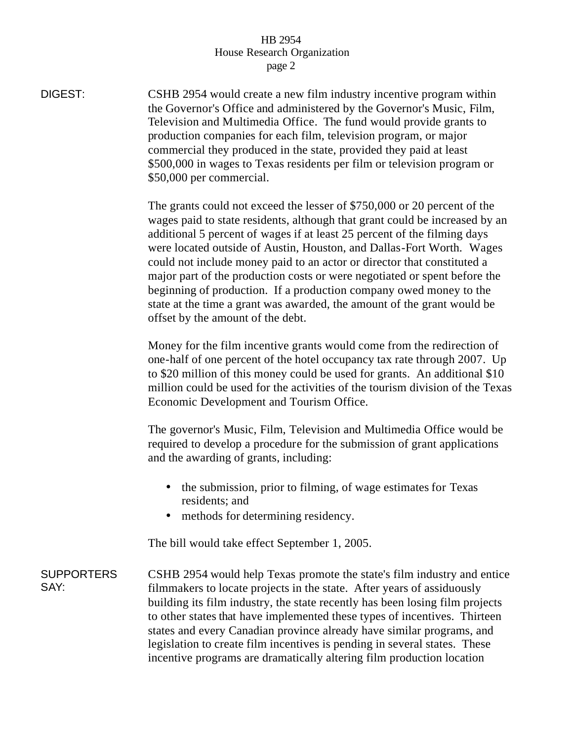## HB 2954 House Research Organization page 2

DIGEST: CSHB 2954 would create a new film industry incentive program within the Governor's Office and administered by the Governor's Music, Film, Television and Multimedia Office. The fund would provide grants to production companies for each film, television program, or major commercial they produced in the state, provided they paid at least \$500,000 in wages to Texas residents per film or television program or \$50,000 per commercial.

> The grants could not exceed the lesser of \$750,000 or 20 percent of the wages paid to state residents, although that grant could be increased by an additional 5 percent of wages if at least 25 percent of the filming days were located outside of Austin, Houston, and Dallas-Fort Worth. Wages could not include money paid to an actor or director that constituted a major part of the production costs or were negotiated or spent before the beginning of production. If a production company owed money to the state at the time a grant was awarded, the amount of the grant would be offset by the amount of the debt.

Money for the film incentive grants would come from the redirection of one-half of one percent of the hotel occupancy tax rate through 2007. Up to \$20 million of this money could be used for grants. An additional \$10 million could be used for the activities of the tourism division of the Texas Economic Development and Tourism Office.

The governor's Music, Film, Television and Multimedia Office would be required to develop a procedure for the submission of grant applications and the awarding of grants, including:

- the submission, prior to filming, of wage estimates for Texas residents; and
- methods for determining residency.

The bill would take effect September 1, 2005.

**SUPPORTERS** SAY: CSHB 2954 would help Texas promote the state's film industry and entice filmmakers to locate projects in the state. After years of assiduously building its film industry, the state recently has been losing film projects to other states that have implemented these types of incentives. Thirteen states and every Canadian province already have similar programs, and legislation to create film incentives is pending in several states. These incentive programs are dramatically altering film production location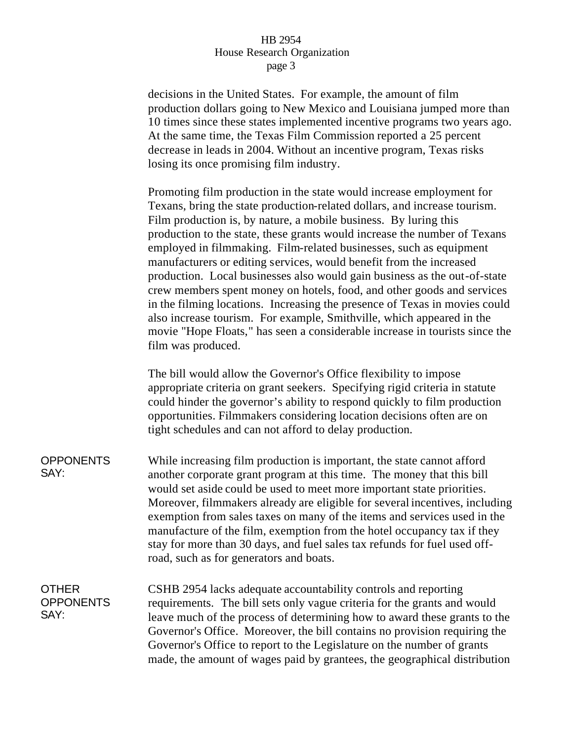## HB 2954 House Research Organization page 3

decisions in the United States. For example, the amount of film production dollars going to New Mexico and Louisiana jumped more than 10 times since these states implemented incentive programs two years ago. At the same time, the Texas Film Commission reported a 25 percent decrease in leads in 2004. Without an incentive program, Texas risks losing its once promising film industry.

Promoting film production in the state would increase employment for Texans, bring the state production-related dollars, and increase tourism. Film production is, by nature, a mobile business. By luring this production to the state, these grants would increase the number of Texans employed in filmmaking. Film-related businesses, such as equipment manufacturers or editing services, would benefit from the increased production. Local businesses also would gain business as the out-of-state crew members spent money on hotels, food, and other goods and services in the filming locations. Increasing the presence of Texas in movies could also increase tourism. For example, Smithville, which appeared in the movie "Hope Floats," has seen a considerable increase in tourists since the film was produced.

The bill would allow the Governor's Office flexibility to impose appropriate criteria on grant seekers. Specifying rigid criteria in statute could hinder the governor's ability to respond quickly to film production opportunities. Filmmakers considering location decisions often are on tight schedules and can not afford to delay production.

**OPPONENTS** SAY: While increasing film production is important, the state cannot afford another corporate grant program at this time. The money that this bill would set aside could be used to meet more important state priorities. Moreover, filmmakers already are eligible for several incentives, including exemption from sales taxes on many of the items and services used in the manufacture of the film, exemption from the hotel occupancy tax if they stay for more than 30 days, and fuel sales tax refunds for fuel used offroad, such as for generators and boats.

OTHER **OPPONENTS** SAY: CSHB 2954 lacks adequate accountability controls and reporting requirements. The bill sets only vague criteria for the grants and would leave much of the process of determining how to award these grants to the Governor's Office. Moreover, the bill contains no provision requiring the Governor's Office to report to the Legislature on the number of grants made, the amount of wages paid by grantees, the geographical distribution